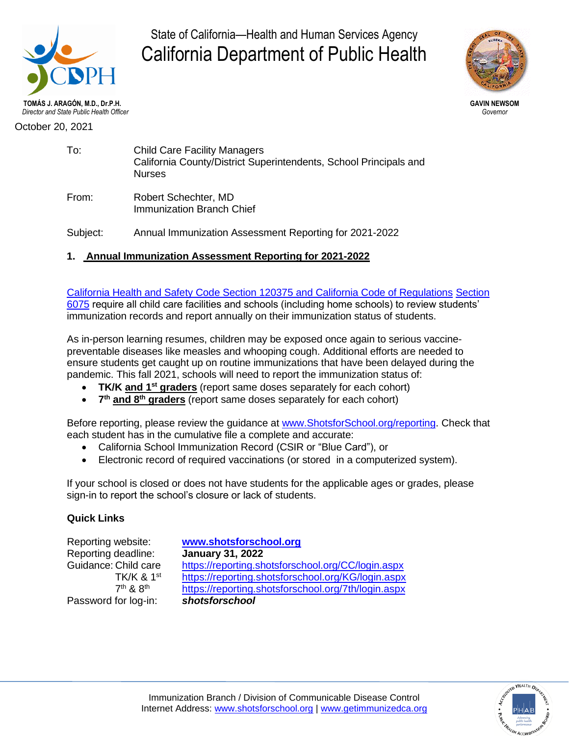

State of California—Health and Human Services Agency California Department of Public Health



October 20, 2021

| To: | <b>Child Care Facility Managers</b><br>California County/District Superintendents, School Principals and<br><b>Nurses</b> |
|-----|---------------------------------------------------------------------------------------------------------------------------|
|     |                                                                                                                           |

From: Robert Schechter, MD Immunization Branch Chief

Subject: Annual Immunization Assessment Reporting for 2021-2022

## **1. Annual Immunization Assessment Reporting for 2021-2022**

[California Health and Safety Code Section 120375 and California Code of Regulations](http://www.shotsforschool.org/laws/) [Section](http://www.shotsforschool.org/laws/)  [6075](http://www.shotsforschool.org/laws/) require all child care facilities and schools (including home schools) to review students' immunization records and report annually on their immunization status of students.

As in-person learning resumes, children may be exposed once again to serious vaccinepreventable diseases like measles and whooping cough. Additional efforts are needed to ensure students get caught up on routine immunizations that have been delayed during the pandemic. This fall 2021, schools will need to report the immunization status of:

- **TK/K and 1st graders** (report same doses separately for each cohort)
- **7 th and 8th graders** (report same doses separately for each cohort)

Before reporting, please review the guidance at [www.ShotsforSchool.org/](http://www.shotsforschool.org/)reporting. Check that each student has in the cumulative file a complete and accurate:

- California School Immunization Record (CSIR or "Blue Card"), or
- Electronic record of required vaccinations (or stored in a computerized system).

If your school is closed or does not have students for the applicable ages or grades, please sign-in to report the school's closure or lack of students.

## **Quick Links**

Reporting website: **[www.shotsforschool.org](http://www.shotsforschool.org/)** Reporting deadline: **January 31, 2022** Guidance: Child care <https://reporting.shotsforschool.org/CC/login.aspx> TK/K & 1<sup>st</sup> <https://reporting.shotsforschool.org/KG/login.aspx> 7<sup>th</sup> & 8<sup>th</sup> <https://reporting.shotsforschool.org/7th/login.aspx> Password for log-in: *shotsforschool*

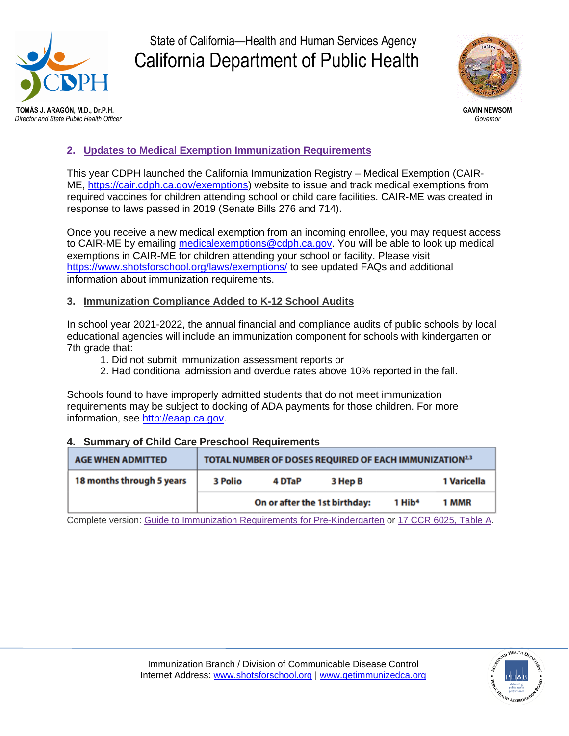

# State of California—Health and Human Services Agency California Department of Public Health



## **2. [Updates to Medical Exemption Immunization Requirements](https://eziz.org/assets/docs/shotsforschool/2021Jan4MedicalExemptions.pdf)**

This year CDPH launched the California Immunization Registry – Medical Exemption (CAIR-ME, [https://cair.cdph.ca.gov/exemptions\)](https://cair.cdph.ca.gov/exemptions) website to issue and track medical exemptions from required vaccines for children attending school or child care facilities. CAIR-ME was created in response to laws passed in 2019 (Senate Bills 276 and 714).

Once you receive a new medical exemption from an incoming enrollee, you may request access to CAIR-ME by emailing [medicalexemptions@cdph.ca.gov.](mailto:medicalexemptions@cdph.ca.gov) You will be able to look up medical exemptions in CAIR-ME for children attending your school or facility. Please visit <https://www.shotsforschool.org/laws/exemptions/> to see updated FAQs and additional information about immunization requirements.

#### **3. Immunization Compliance Added to K-12 School Audits**

In school year 2021-2022, the annual financial and compliance audits of public schools by local educational agencies will include an immunization component for schools with kindergarten or 7th grade that:

- 1. Did not submit immunization assessment reports or
- 2. Had conditional admission and overdue rates above 10% reported in the fall.

Schools found to have improperly admitted students that do not meet immunization requirements may be subject to docking of ADA payments for those children. For more information, see [http://eaap.ca.gov.](http://eaap.ca.gov/)

#### **4. Summary of Child Care Preschool Requirements**

| <b>AGE WHEN ADMITTED</b>  |         |                               | TOTAL NUMBER OF DOSES REQUIRED OF EACH IMMUNIZATION <sup>2,3</sup> |                    |             |
|---------------------------|---------|-------------------------------|--------------------------------------------------------------------|--------------------|-------------|
| 18 months through 5 years | 3 Polio | 4 DTaP                        | 3 Hep B                                                            |                    | 1 Varicella |
|                           |         | On or after the 1st birthday: |                                                                    | 1 Hib <sup>4</sup> | 1 MMR       |

Complete version: Guide to Immunization Requirements for [Pre-Kindergarten](http://eziz.org/assets/docs/IMM-230.pdf) or 17 CCR [6025,](http://eziz.org/assets/docs/IMM-1080.pdf) Table A.